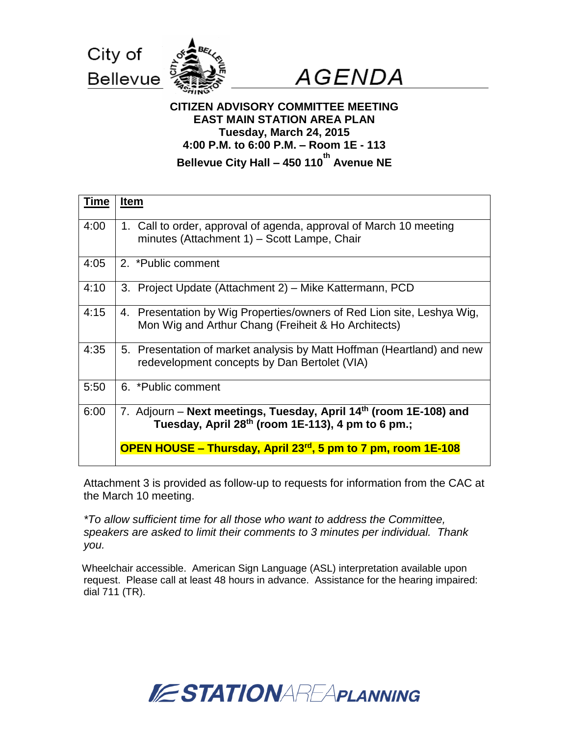



# **CITIZEN ADVISORY COMMITTEE MEETING EAST MAIN STATION AREA PLAN Tuesday, March 24, 2015 4:00 P.M. to 6:00 P.M. – Room 1E - 113 Bellevue City Hall – 450 110 th Avenue NE**

| <b>Time</b> | <b>Item</b>                                                                                                                                    |  |
|-------------|------------------------------------------------------------------------------------------------------------------------------------------------|--|
| 4:00        | 1. Call to order, approval of agenda, approval of March 10 meeting<br>minutes (Attachment 1) – Scott Lampe, Chair                              |  |
| 4:05        | 2. *Public comment                                                                                                                             |  |
| 4:10        | 3. Project Update (Attachment 2) – Mike Kattermann, PCD                                                                                        |  |
| 4:15        | 4. Presentation by Wig Properties/owners of Red Lion site, Leshya Wig,<br>Mon Wig and Arthur Chang (Freiheit & Ho Architects)                  |  |
| 4:35        | 5. Presentation of market analysis by Matt Hoffman (Heartland) and new<br>redevelopment concepts by Dan Bertolet (VIA)                         |  |
| 5:50        | 6. *Public comment                                                                                                                             |  |
| 6:00        | 7. Adjourn – Next meetings, Tuesday, April 14 <sup>th</sup> (room 1E-108) and<br>Tuesday, April 28 <sup>th</sup> (room 1E-113), 4 pm to 6 pm.; |  |
|             | OPEN HOUSE – Thursday, April 23 <sup>rd</sup> , 5 pm to 7 pm, room 1E-108                                                                      |  |

Attachment 3 is provided as follow-up to requests for information from the CAC at the March 10 meeting.

*\*To allow sufficient time for all those who want to address the Committee, speakers are asked to limit their comments to 3 minutes per individual. Thank you.*

Wheelchair accessible. American Sign Language (ASL) interpretation available upon request. Please call at least 48 hours in advance. Assistance for the hearing impaired: dial 711 (TR).

# **ESTATIONAREAPLANNING**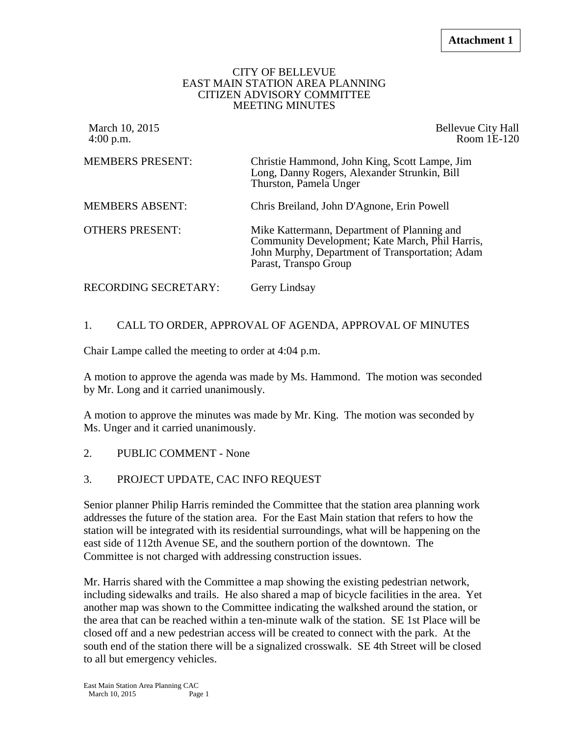#### CITY OF BELLEVUE EAST MAIN STATION AREA PLANNING CITIZEN ADVISORY COMMITTEE MEETING MINUTES

| March 10, 2015<br>$4:00$ p.m. | <b>Bellevue City Hall</b><br>Room 1E-120                                                                                                                                   |
|-------------------------------|----------------------------------------------------------------------------------------------------------------------------------------------------------------------------|
| <b>MEMBERS PRESENT:</b>       | Christie Hammond, John King, Scott Lampe, Jim<br>Long, Danny Rogers, Alexander Strunkin, Bill<br>Thurston, Pamela Unger                                                    |
| <b>MEMBERS ABSENT:</b>        | Chris Breiland, John D'Agnone, Erin Powell                                                                                                                                 |
| <b>OTHERS PRESENT:</b>        | Mike Kattermann, Department of Planning and<br>Community Development; Kate March, Phil Harris,<br>John Murphy, Department of Transportation; Adam<br>Parast, Transpo Group |
| RECORDING SECRETARY:          | Gerry Lindsay                                                                                                                                                              |

#### 1. CALL TO ORDER, APPROVAL OF AGENDA, APPROVAL OF MINUTES

Chair Lampe called the meeting to order at 4:04 p.m.

A motion to approve the agenda was made by Ms. Hammond. The motion was seconded by Mr. Long and it carried unanimously.

A motion to approve the minutes was made by Mr. King. The motion was seconded by Ms. Unger and it carried unanimously.

- 2. PUBLIC COMMENT None
- 3. PROJECT UPDATE, CAC INFO REQUEST

Senior planner Philip Harris reminded the Committee that the station area planning work addresses the future of the station area. For the East Main station that refers to how the station will be integrated with its residential surroundings, what will be happening on the east side of 112th Avenue SE, and the southern portion of the downtown. The Committee is not charged with addressing construction issues.

Mr. Harris shared with the Committee a map showing the existing pedestrian network, including sidewalks and trails. He also shared a map of bicycle facilities in the area. Yet another map was shown to the Committee indicating the walkshed around the station, or the area that can be reached within a ten-minute walk of the station. SE 1st Place will be closed off and a new pedestrian access will be created to connect with the park. At the south end of the station there will be a signalized crosswalk. SE 4th Street will be closed to all but emergency vehicles.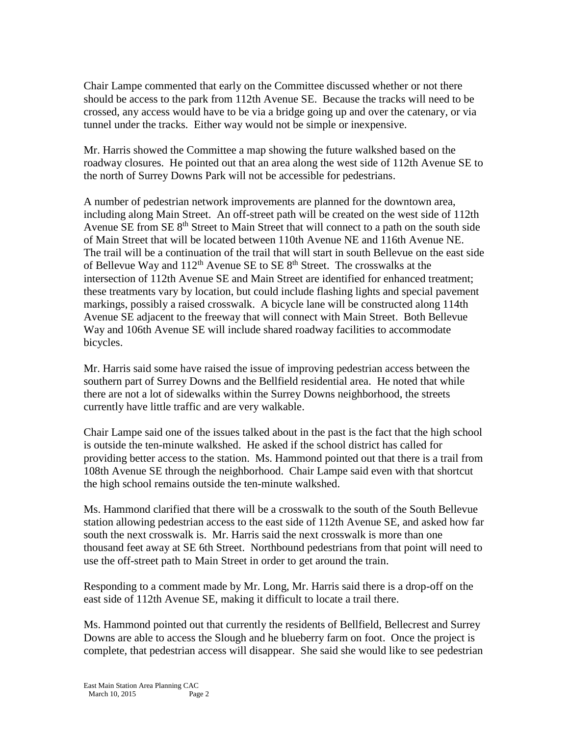Chair Lampe commented that early on the Committee discussed whether or not there should be access to the park from 112th Avenue SE. Because the tracks will need to be crossed, any access would have to be via a bridge going up and over the catenary, or via tunnel under the tracks. Either way would not be simple or inexpensive.

Mr. Harris showed the Committee a map showing the future walkshed based on the roadway closures. He pointed out that an area along the west side of 112th Avenue SE to the north of Surrey Downs Park will not be accessible for pedestrians.

A number of pedestrian network improvements are planned for the downtown area, including along Main Street. An off-street path will be created on the west side of 112th Avenue SE from SE 8<sup>th</sup> Street to Main Street that will connect to a path on the south side of Main Street that will be located between 110th Avenue NE and 116th Avenue NE. The trail will be a continuation of the trail that will start in south Bellevue on the east side of Bellevue Way and  $112^{th}$  Avenue SE to SE  $8^{th}$  Street. The crosswalks at the intersection of 112th Avenue SE and Main Street are identified for enhanced treatment; these treatments vary by location, but could include flashing lights and special pavement markings, possibly a raised crosswalk. A bicycle lane will be constructed along 114th Avenue SE adjacent to the freeway that will connect with Main Street. Both Bellevue Way and 106th Avenue SE will include shared roadway facilities to accommodate bicycles.

Mr. Harris said some have raised the issue of improving pedestrian access between the southern part of Surrey Downs and the Bellfield residential area. He noted that while there are not a lot of sidewalks within the Surrey Downs neighborhood, the streets currently have little traffic and are very walkable.

Chair Lampe said one of the issues talked about in the past is the fact that the high school is outside the ten-minute walkshed. He asked if the school district has called for providing better access to the station. Ms. Hammond pointed out that there is a trail from 108th Avenue SE through the neighborhood. Chair Lampe said even with that shortcut the high school remains outside the ten-minute walkshed.

Ms. Hammond clarified that there will be a crosswalk to the south of the South Bellevue station allowing pedestrian access to the east side of 112th Avenue SE, and asked how far south the next crosswalk is. Mr. Harris said the next crosswalk is more than one thousand feet away at SE 6th Street. Northbound pedestrians from that point will need to use the off-street path to Main Street in order to get around the train.

Responding to a comment made by Mr. Long, Mr. Harris said there is a drop-off on the east side of 112th Avenue SE, making it difficult to locate a trail there.

Ms. Hammond pointed out that currently the residents of Bellfield, Bellecrest and Surrey Downs are able to access the Slough and he blueberry farm on foot. Once the project is complete, that pedestrian access will disappear. She said she would like to see pedestrian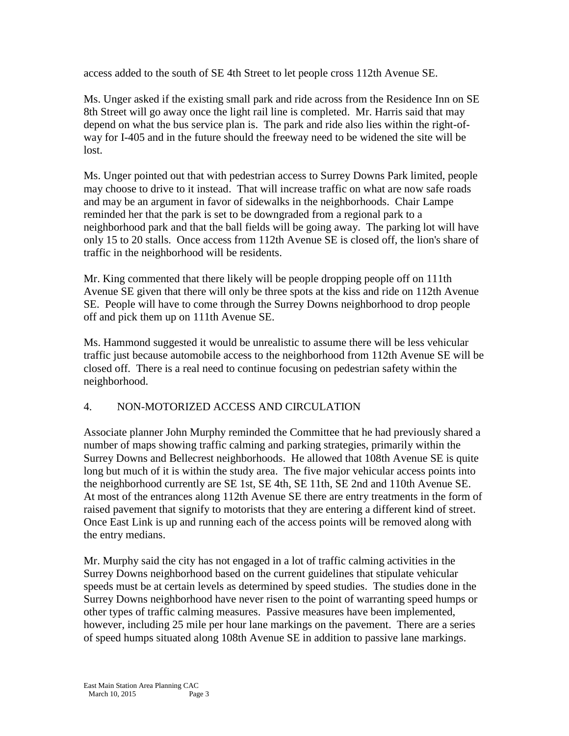access added to the south of SE 4th Street to let people cross 112th Avenue SE.

Ms. Unger asked if the existing small park and ride across from the Residence Inn on SE 8th Street will go away once the light rail line is completed. Mr. Harris said that may depend on what the bus service plan is. The park and ride also lies within the right-ofway for I-405 and in the future should the freeway need to be widened the site will be lost.

Ms. Unger pointed out that with pedestrian access to Surrey Downs Park limited, people may choose to drive to it instead. That will increase traffic on what are now safe roads and may be an argument in favor of sidewalks in the neighborhoods. Chair Lampe reminded her that the park is set to be downgraded from a regional park to a neighborhood park and that the ball fields will be going away. The parking lot will have only 15 to 20 stalls. Once access from 112th Avenue SE is closed off, the lion's share of traffic in the neighborhood will be residents.

Mr. King commented that there likely will be people dropping people off on 111th Avenue SE given that there will only be three spots at the kiss and ride on 112th Avenue SE. People will have to come through the Surrey Downs neighborhood to drop people off and pick them up on 111th Avenue SE.

Ms. Hammond suggested it would be unrealistic to assume there will be less vehicular traffic just because automobile access to the neighborhood from 112th Avenue SE will be closed off. There is a real need to continue focusing on pedestrian safety within the neighborhood.

#### 4. NON-MOTORIZED ACCESS AND CIRCULATION

Associate planner John Murphy reminded the Committee that he had previously shared a number of maps showing traffic calming and parking strategies, primarily within the Surrey Downs and Bellecrest neighborhoods. He allowed that 108th Avenue SE is quite long but much of it is within the study area. The five major vehicular access points into the neighborhood currently are SE 1st, SE 4th, SE 11th, SE 2nd and 110th Avenue SE. At most of the entrances along 112th Avenue SE there are entry treatments in the form of raised pavement that signify to motorists that they are entering a different kind of street. Once East Link is up and running each of the access points will be removed along with the entry medians.

Mr. Murphy said the city has not engaged in a lot of traffic calming activities in the Surrey Downs neighborhood based on the current guidelines that stipulate vehicular speeds must be at certain levels as determined by speed studies. The studies done in the Surrey Downs neighborhood have never risen to the point of warranting speed humps or other types of traffic calming measures. Passive measures have been implemented, however, including 25 mile per hour lane markings on the pavement. There are a series of speed humps situated along 108th Avenue SE in addition to passive lane markings.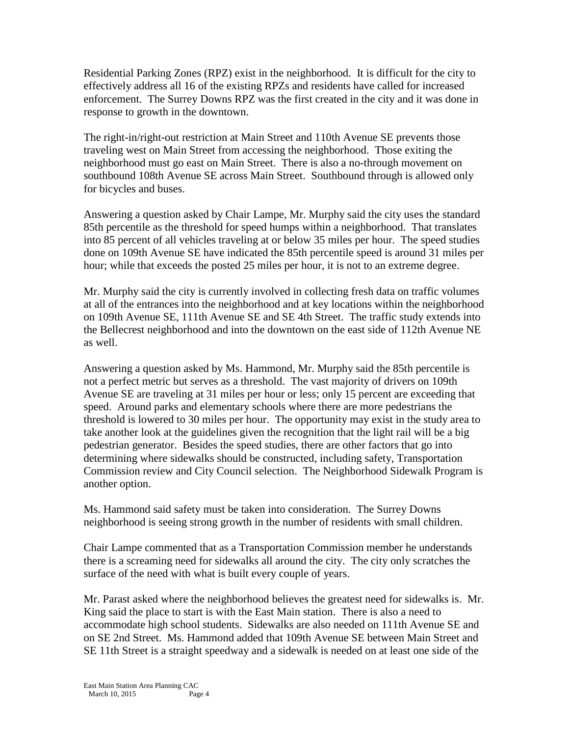Residential Parking Zones (RPZ) exist in the neighborhood. It is difficult for the city to effectively address all 16 of the existing RPZs and residents have called for increased enforcement. The Surrey Downs RPZ was the first created in the city and it was done in response to growth in the downtown.

The right-in/right-out restriction at Main Street and 110th Avenue SE prevents those traveling west on Main Street from accessing the neighborhood. Those exiting the neighborhood must go east on Main Street. There is also a no-through movement on southbound 108th Avenue SE across Main Street. Southbound through is allowed only for bicycles and buses.

Answering a question asked by Chair Lampe, Mr. Murphy said the city uses the standard 85th percentile as the threshold for speed humps within a neighborhood. That translates into 85 percent of all vehicles traveling at or below 35 miles per hour. The speed studies done on 109th Avenue SE have indicated the 85th percentile speed is around 31 miles per hour; while that exceeds the posted 25 miles per hour, it is not to an extreme degree.

Mr. Murphy said the city is currently involved in collecting fresh data on traffic volumes at all of the entrances into the neighborhood and at key locations within the neighborhood on 109th Avenue SE, 111th Avenue SE and SE 4th Street. The traffic study extends into the Bellecrest neighborhood and into the downtown on the east side of 112th Avenue NE as well.

Answering a question asked by Ms. Hammond, Mr. Murphy said the 85th percentile is not a perfect metric but serves as a threshold. The vast majority of drivers on 109th Avenue SE are traveling at 31 miles per hour or less; only 15 percent are exceeding that speed. Around parks and elementary schools where there are more pedestrians the threshold is lowered to 30 miles per hour. The opportunity may exist in the study area to take another look at the guidelines given the recognition that the light rail will be a big pedestrian generator. Besides the speed studies, there are other factors that go into determining where sidewalks should be constructed, including safety, Transportation Commission review and City Council selection. The Neighborhood Sidewalk Program is another option.

Ms. Hammond said safety must be taken into consideration. The Surrey Downs neighborhood is seeing strong growth in the number of residents with small children.

Chair Lampe commented that as a Transportation Commission member he understands there is a screaming need for sidewalks all around the city. The city only scratches the surface of the need with what is built every couple of years.

Mr. Parast asked where the neighborhood believes the greatest need for sidewalks is. Mr. King said the place to start is with the East Main station. There is also a need to accommodate high school students. Sidewalks are also needed on 111th Avenue SE and on SE 2nd Street. Ms. Hammond added that 109th Avenue SE between Main Street and SE 11th Street is a straight speedway and a sidewalk is needed on at least one side of the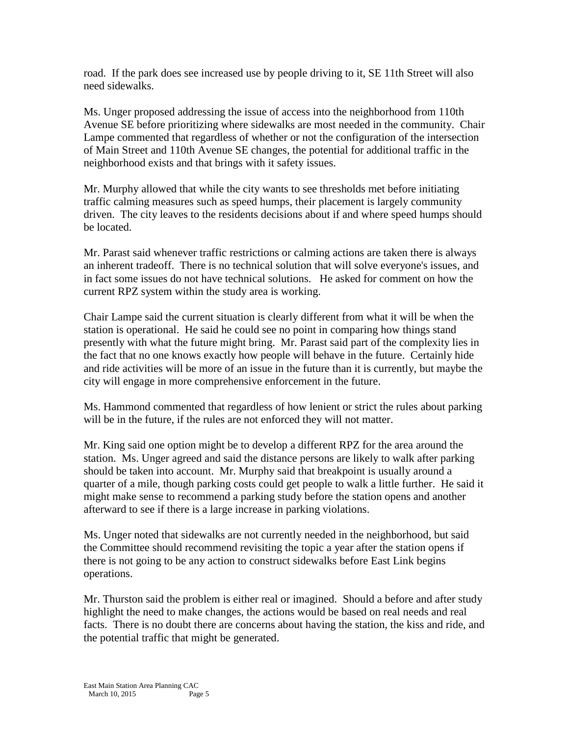road. If the park does see increased use by people driving to it, SE 11th Street will also need sidewalks.

Ms. Unger proposed addressing the issue of access into the neighborhood from 110th Avenue SE before prioritizing where sidewalks are most needed in the community. Chair Lampe commented that regardless of whether or not the configuration of the intersection of Main Street and 110th Avenue SE changes, the potential for additional traffic in the neighborhood exists and that brings with it safety issues.

Mr. Murphy allowed that while the city wants to see thresholds met before initiating traffic calming measures such as speed humps, their placement is largely community driven. The city leaves to the residents decisions about if and where speed humps should be located.

Mr. Parast said whenever traffic restrictions or calming actions are taken there is always an inherent tradeoff. There is no technical solution that will solve everyone's issues, and in fact some issues do not have technical solutions. He asked for comment on how the current RPZ system within the study area is working.

Chair Lampe said the current situation is clearly different from what it will be when the station is operational. He said he could see no point in comparing how things stand presently with what the future might bring. Mr. Parast said part of the complexity lies in the fact that no one knows exactly how people will behave in the future. Certainly hide and ride activities will be more of an issue in the future than it is currently, but maybe the city will engage in more comprehensive enforcement in the future.

Ms. Hammond commented that regardless of how lenient or strict the rules about parking will be in the future, if the rules are not enforced they will not matter.

Mr. King said one option might be to develop a different RPZ for the area around the station. Ms. Unger agreed and said the distance persons are likely to walk after parking should be taken into account. Mr. Murphy said that breakpoint is usually around a quarter of a mile, though parking costs could get people to walk a little further. He said it might make sense to recommend a parking study before the station opens and another afterward to see if there is a large increase in parking violations.

Ms. Unger noted that sidewalks are not currently needed in the neighborhood, but said the Committee should recommend revisiting the topic a year after the station opens if there is not going to be any action to construct sidewalks before East Link begins operations.

Mr. Thurston said the problem is either real or imagined. Should a before and after study highlight the need to make changes, the actions would be based on real needs and real facts. There is no doubt there are concerns about having the station, the kiss and ride, and the potential traffic that might be generated.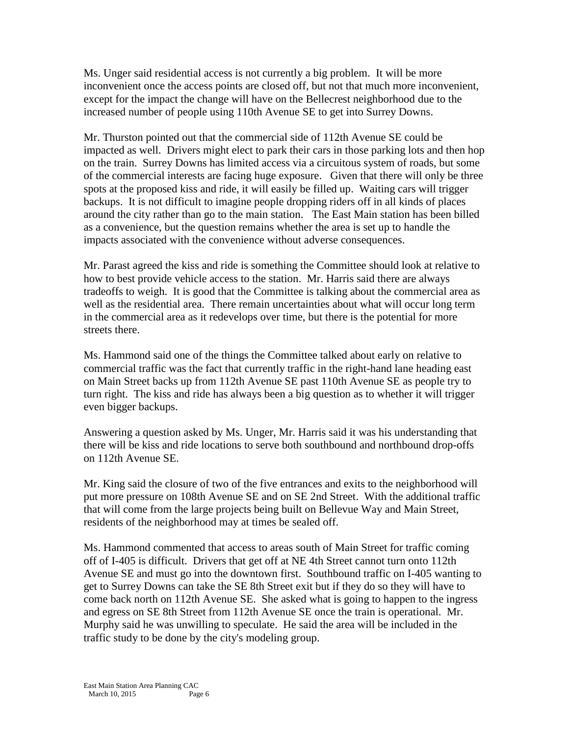Ms. Unger said residential access is not currently a big problem. It will be more inconvenient once the access points are closed off, but not that much more inconvenient, except for the impact the change will have on the Bellecrest neighborhood due to the increased number of people using 110th Avenue SE to get into Surrey Downs.

Mr. Thurston pointed out that the commercial side of 112th Avenue SE could be impacted as well. Drivers might elect to park their cars in those parking lots and then hop on the train. Surrey Downs has limited access via a circuitous system of roads, but some of the commercial interests are facing huge exposure. Given that there will only be three spots at the proposed kiss and ride, it will easily be filled up. Waiting cars will trigger backups. It is not difficult to imagine people dropping riders off in all kinds of places around the city rather than go to the main station. The East Main station has been billed as a convenience, but the question remains whether the area is set up to handle the impacts associated with the convenience without adverse consequences.

Mr. Parast agreed the kiss and ride is something the Committee should look at relative to how to best provide vehicle access to the station. Mr. Harris said there are always tradeoffs to weigh. It is good that the Committee is talking about the commercial area as well as the residential area. There remain uncertainties about what will occur long term in the commercial area as it redevelops over time, but there is the potential for more streets there.

Ms. Hammond said one of the things the Committee talked about early on relative to commercial traffic was the fact that currently traffic in the right-hand lane heading east on Main Street backs up from 112th Avenue SE past 110th Avenue SE as people try to turn right. The kiss and ride has always been a big question as to whether it will trigger even bigger backups.

Answering a question asked by Ms. Unger, Mr. Harris said it was his understanding that there will be kiss and ride locations to serve both southbound and northbound drop-offs on 112th Avenue SE.

Mr. King said the closure of two of the five entrances and exits to the neighborhood will put more pressure on 108th Avenue SE and on SE 2nd Street. With the additional traffic that will come from the large projects being built on Bellevue Way and Main Street, residents of the neighborhood may at times be sealed off.

Ms. Hammond commented that access to areas south of Main Street for traffic coming off of I-405 is difficult. Drivers that get off at NE 4th Street cannot turn onto 112th Avenue SE and must go into the downtown first. Southbound traffic on I-405 wanting to get to Surrey Downs can take the SE 8th Street exit but if they do so they will have to come back north on 112th Avenue SE. She asked what is going to happen to the ingress and egress on SE 8th Street from 112th Avenue SE once the train is operational. Mr. Murphy said he was unwilling to speculate. He said the area will be included in the traffic study to be done by the city's modeling group.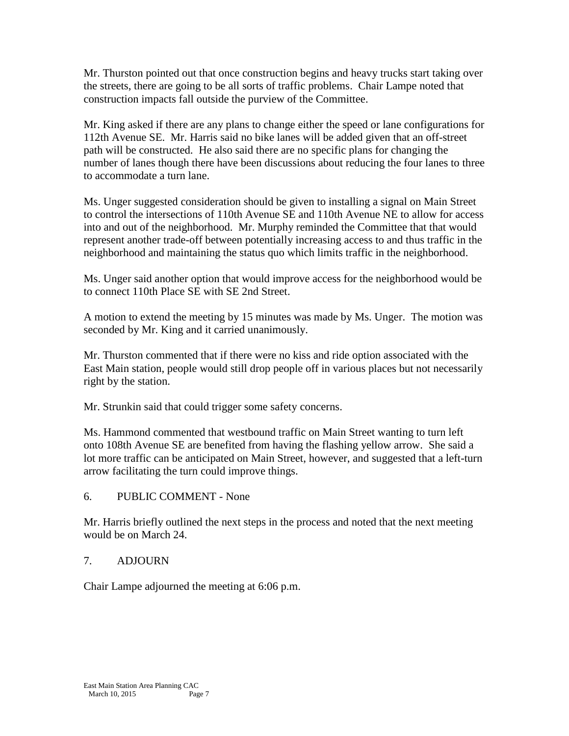Mr. Thurston pointed out that once construction begins and heavy trucks start taking over the streets, there are going to be all sorts of traffic problems. Chair Lampe noted that construction impacts fall outside the purview of the Committee.

Mr. King asked if there are any plans to change either the speed or lane configurations for 112th Avenue SE. Mr. Harris said no bike lanes will be added given that an off-street path will be constructed. He also said there are no specific plans for changing the number of lanes though there have been discussions about reducing the four lanes to three to accommodate a turn lane.

Ms. Unger suggested consideration should be given to installing a signal on Main Street to control the intersections of 110th Avenue SE and 110th Avenue NE to allow for access into and out of the neighborhood. Mr. Murphy reminded the Committee that that would represent another trade-off between potentially increasing access to and thus traffic in the neighborhood and maintaining the status quo which limits traffic in the neighborhood.

Ms. Unger said another option that would improve access for the neighborhood would be to connect 110th Place SE with SE 2nd Street.

A motion to extend the meeting by 15 minutes was made by Ms. Unger. The motion was seconded by Mr. King and it carried unanimously.

Mr. Thurston commented that if there were no kiss and ride option associated with the East Main station, people would still drop people off in various places but not necessarily right by the station.

Mr. Strunkin said that could trigger some safety concerns.

Ms. Hammond commented that westbound traffic on Main Street wanting to turn left onto 108th Avenue SE are benefited from having the flashing yellow arrow. She said a lot more traffic can be anticipated on Main Street, however, and suggested that a left-turn arrow facilitating the turn could improve things.

# 6. PUBLIC COMMENT - None

Mr. Harris briefly outlined the next steps in the process and noted that the next meeting would be on March 24.

# 7. ADJOURN

Chair Lampe adjourned the meeting at 6:06 p.m.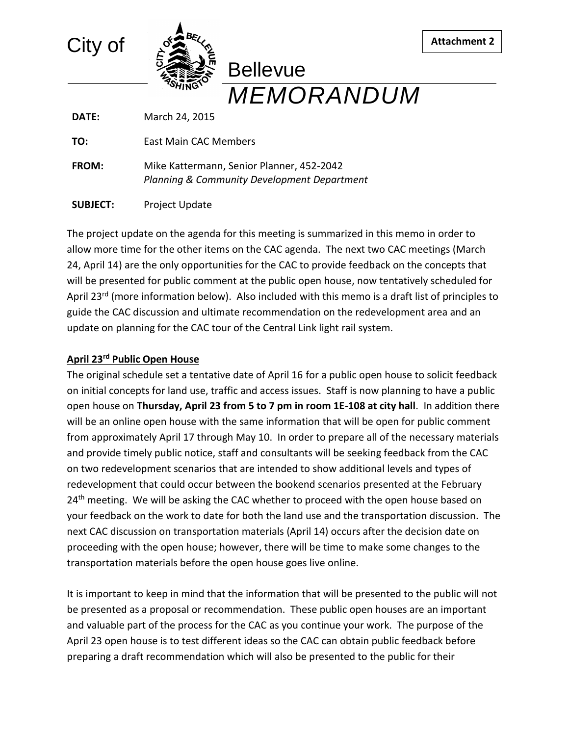

**DATE:** March 24, 2015

**TO:** East Main CAC Members

**FROM:** Mike Kattermann, Senior Planner, 452-2042 *Planning & Community Development Department*

**SUBJECT:** Project Update

The project update on the agenda for this meeting is summarized in this memo in order to allow more time for the other items on the CAC agenda. The next two CAC meetings (March 24, April 14) are the only opportunities for the CAC to provide feedback on the concepts that will be presented for public comment at the public open house, now tentatively scheduled for April 23<sup>rd</sup> (more information below). Also included with this memo is a draft list of principles to guide the CAC discussion and ultimate recommendation on the redevelopment area and an update on planning for the CAC tour of the Central Link light rail system.

**Attachment 2**

#### **April 23rd Public Open House**

The original schedule set a tentative date of April 16 for a public open house to solicit feedback on initial concepts for land use, traffic and access issues. Staff is now planning to have a public open house on **Thursday, April 23 from 5 to 7 pm in room 1E-108 at city hall**. In addition there will be an online open house with the same information that will be open for public comment from approximately April 17 through May 10. In order to prepare all of the necessary materials and provide timely public notice, staff and consultants will be seeking feedback from the CAC on two redevelopment scenarios that are intended to show additional levels and types of redevelopment that could occur between the bookend scenarios presented at the February  $24<sup>th</sup>$  meeting. We will be asking the CAC whether to proceed with the open house based on your feedback on the work to date for both the land use and the transportation discussion. The next CAC discussion on transportation materials (April 14) occurs after the decision date on proceeding with the open house; however, there will be time to make some changes to the transportation materials before the open house goes live online.

It is important to keep in mind that the information that will be presented to the public will not be presented as a proposal or recommendation. These public open houses are an important and valuable part of the process for the CAC as you continue your work. The purpose of the April 23 open house is to test different ideas so the CAC can obtain public feedback before preparing a draft recommendation which will also be presented to the public for their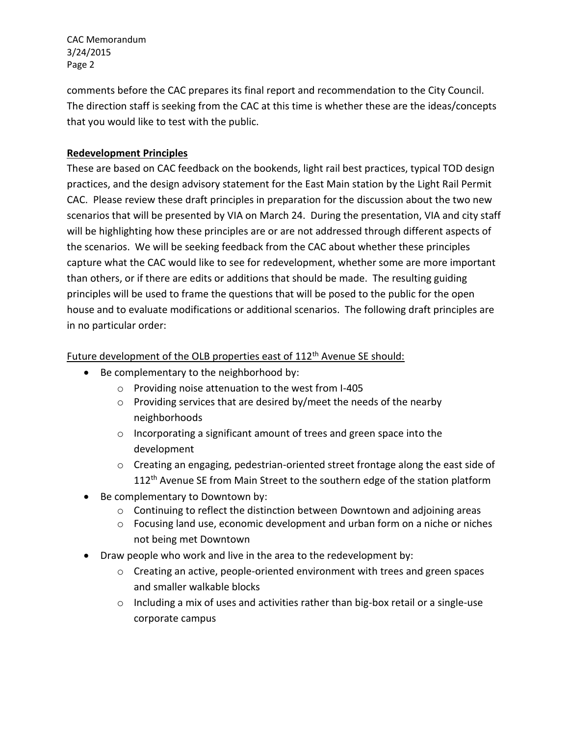CAC Memorandum 3/24/2015 Page 2

comments before the CAC prepares its final report and recommendation to the City Council. The direction staff is seeking from the CAC at this time is whether these are the ideas/concepts that you would like to test with the public.

### **Redevelopment Principles**

These are based on CAC feedback on the bookends, light rail best practices, typical TOD design practices, and the design advisory statement for the East Main station by the Light Rail Permit CAC. Please review these draft principles in preparation for the discussion about the two new scenarios that will be presented by VIA on March 24. During the presentation, VIA and city staff will be highlighting how these principles are or are not addressed through different aspects of the scenarios. We will be seeking feedback from the CAC about whether these principles capture what the CAC would like to see for redevelopment, whether some are more important than others, or if there are edits or additions that should be made. The resulting guiding principles will be used to frame the questions that will be posed to the public for the open house and to evaluate modifications or additional scenarios. The following draft principles are in no particular order:

#### Future development of the OLB properties east of 112<sup>th</sup> Avenue SE should:

- Be complementary to the neighborhood by:
	- o Providing noise attenuation to the west from I-405
	- $\circ$  Providing services that are desired by/meet the needs of the nearby neighborhoods
	- o Incorporating a significant amount of trees and green space into the development
	- o Creating an engaging, pedestrian-oriented street frontage along the east side of 112<sup>th</sup> Avenue SE from Main Street to the southern edge of the station platform
- Be complementary to Downtown by:
	- $\circ$  Continuing to reflect the distinction between Downtown and adjoining areas
	- o Focusing land use, economic development and urban form on a niche or niches not being met Downtown
- Draw people who work and live in the area to the redevelopment by:
	- o Creating an active, people-oriented environment with trees and green spaces and smaller walkable blocks
	- o Including a mix of uses and activities rather than big-box retail or a single-use corporate campus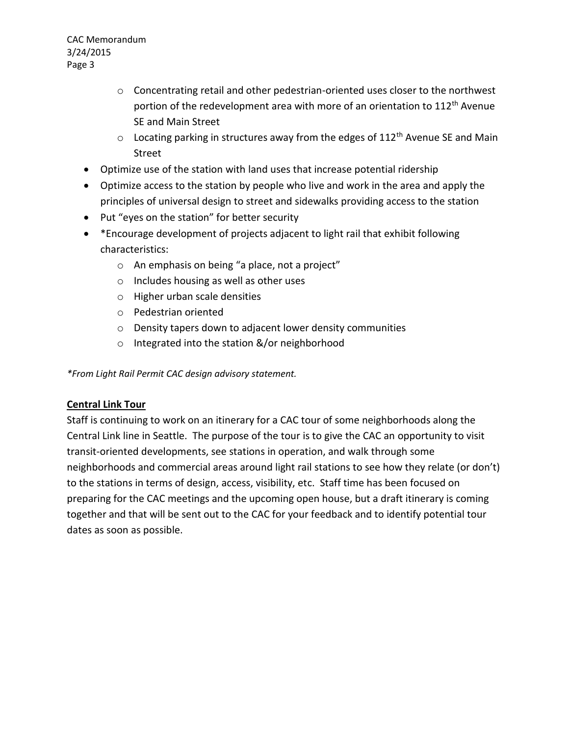CAC Memorandum 3/24/2015 Page 3

- $\circ$  Concentrating retail and other pedestrian-oriented uses closer to the northwest portion of the redevelopment area with more of an orientation to 112<sup>th</sup> Avenue SE and Main Street
- $\circ$  Locating parking in structures away from the edges of 112<sup>th</sup> Avenue SE and Main Street
- Optimize use of the station with land uses that increase potential ridership
- Optimize access to the station by people who live and work in the area and apply the principles of universal design to street and sidewalks providing access to the station
- Put "eyes on the station" for better security
- \* Encourage development of projects adjacent to light rail that exhibit following characteristics:
	- o An emphasis on being "a place, not a project"
	- o Includes housing as well as other uses
	- o Higher urban scale densities
	- o Pedestrian oriented
	- o Density tapers down to adjacent lower density communities
	- o Integrated into the station &/or neighborhood

*\*From Light Rail Permit CAC design advisory statement.*

#### **Central Link Tour**

Staff is continuing to work on an itinerary for a CAC tour of some neighborhoods along the Central Link line in Seattle. The purpose of the tour is to give the CAC an opportunity to visit transit-oriented developments, see stations in operation, and walk through some neighborhoods and commercial areas around light rail stations to see how they relate (or don't) to the stations in terms of design, access, visibility, etc. Staff time has been focused on preparing for the CAC meetings and the upcoming open house, but a draft itinerary is coming together and that will be sent out to the CAC for your feedback and to identify potential tour dates as soon as possible.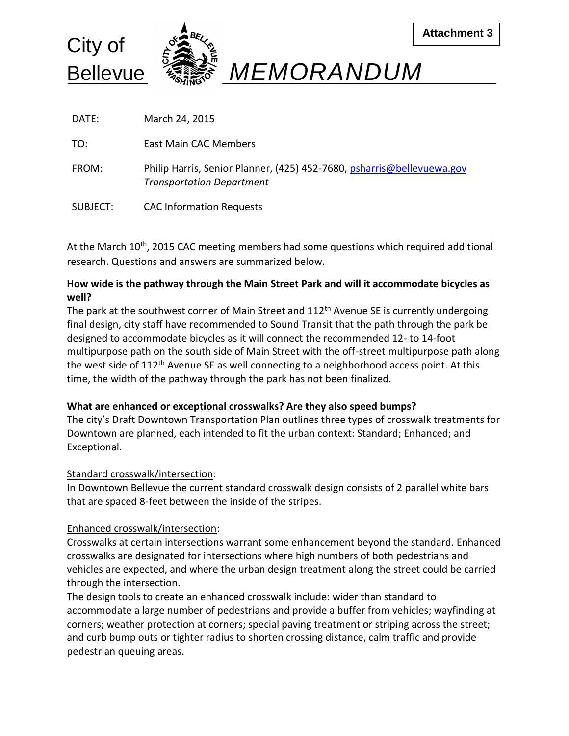

DATE: March 24, 2015

TO: East Main CAC Members

- FROM: Philip Harris, Senior Planner, (425) 452-7680, [psharris@bellevuewa.gov](mailto:psharris@bellevuewa.gov) *Transportation Department*
- SUBJECT: CAC Information Requests

At the March  $10<sup>th</sup>$ , 2015 CAC meeting members had some questions which required additional research. Questions and answers are summarized below.

### **How wide is the pathway through the Main Street Park and will it accommodate bicycles as well?**

The park at the southwest corner of Main Street and  $112<sup>th</sup>$  Avenue SE is currently undergoing final design, city staff have recommended to Sound Transit that the path through the park be designed to accommodate bicycles as it will connect the recommended 12- to 14-foot multipurpose path on the south side of Main Street with the off-street multipurpose path along the west side of 112<sup>th</sup> Avenue SE as well connecting to a neighborhood access point. At this time, the width of the pathway through the park has not been finalized.

#### **What are enhanced or exceptional crosswalks? Are they also speed bumps?**

The city's Draft Downtown Transportation Plan outlines three types of crosswalk treatments for Downtown are planned, each intended to fit the urban context: Standard; Enhanced; and Exceptional.

#### Standard crosswalk/intersection:

In Downtown Bellevue the current standard crosswalk design consists of 2 parallel white bars that are spaced 8-feet between the inside of the stripes.

# Enhanced crosswalk/intersection:

Crosswalks at certain intersections warrant some enhancement beyond the standard. Enhanced crosswalks are designated for intersections where high numbers of both pedestrians and vehicles are expected, and where the urban design treatment along the street could be carried through the intersection.

The design tools to create an enhanced crosswalk include: wider than standard to accommodate a large number of pedestrians and provide a buffer from vehicles; wayfinding at corners; weather protection at corners; special paving treatment or striping across the street; and curb bump outs or tighter radius to shorten crossing distance, calm traffic and provide pedestrian queuing areas.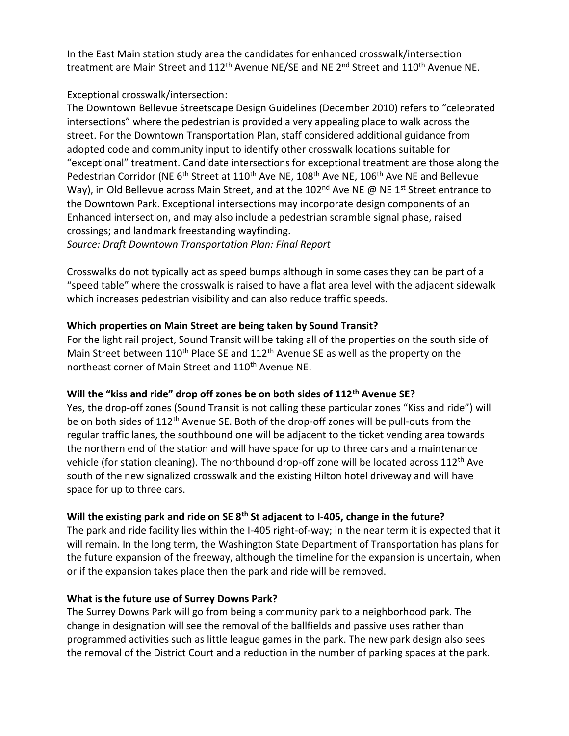In the East Main station study area the candidates for enhanced crosswalk/intersection treatment are Main Street and  $112<sup>th</sup>$  Avenue NE/SE and NE  $2<sup>nd</sup>$  Street and  $110<sup>th</sup>$  Avenue NE.

### Exceptional crosswalk/intersection:

The Downtown Bellevue Streetscape Design Guidelines (December 2010) refers to "celebrated intersections" where the pedestrian is provided a very appealing place to walk across the street. For the Downtown Transportation Plan, staff considered additional guidance from adopted code and community input to identify other crosswalk locations suitable for "exceptional" treatment. Candidate intersections for exceptional treatment are those along the Pedestrian Corridor (NE 6<sup>th</sup> Street at 110<sup>th</sup> Ave NE, 108<sup>th</sup> Ave NE, 106<sup>th</sup> Ave NE and Bellevue Way), in Old Bellevue across Main Street, and at the 102<sup>nd</sup> Ave NE @ NE 1<sup>st</sup> Street entrance to the Downtown Park. Exceptional intersections may incorporate design components of an Enhanced intersection, and may also include a pedestrian scramble signal phase, raised crossings; and landmark freestanding wayfinding.

*Source: Draft Downtown Transportation Plan: Final Report*

Crosswalks do not typically act as speed bumps although in some cases they can be part of a "speed table" where the crosswalk is raised to have a flat area level with the adjacent sidewalk which increases pedestrian visibility and can also reduce traffic speeds.

#### **Which properties on Main Street are being taken by Sound Transit?**

For the light rail project, Sound Transit will be taking all of the properties on the south side of Main Street between  $110^{th}$  Place SE and  $112^{th}$  Avenue SE as well as the property on the northeast corner of Main Street and 110<sup>th</sup> Avenue NE.

#### **Will the "kiss and ride" drop off zones be on both sides of 112th Avenue SE?**

Yes, the drop-off zones (Sound Transit is not calling these particular zones "Kiss and ride") will be on both sides of 112<sup>th</sup> Avenue SE. Both of the drop-off zones will be pull-outs from the regular traffic lanes, the southbound one will be adjacent to the ticket vending area towards the northern end of the station and will have space for up to three cars and a maintenance vehicle (for station cleaning). The northbound drop-off zone will be located across 112<sup>th</sup> Ave south of the new signalized crosswalk and the existing Hilton hotel driveway and will have space for up to three cars.

#### **Will the existing park and ride on SE 8th St adjacent to I-405, change in the future?**

The park and ride facility lies within the I-405 right-of-way; in the near term it is expected that it will remain. In the long term, the Washington State Department of Transportation has plans for the future expansion of the freeway, although the timeline for the expansion is uncertain, when or if the expansion takes place then the park and ride will be removed.

#### **What is the future use of Surrey Downs Park?**

The Surrey Downs Park will go from being a community park to a neighborhood park. The change in designation will see the removal of the ballfields and passive uses rather than programmed activities such as little league games in the park. The new park design also sees the removal of the District Court and a reduction in the number of parking spaces at the park.